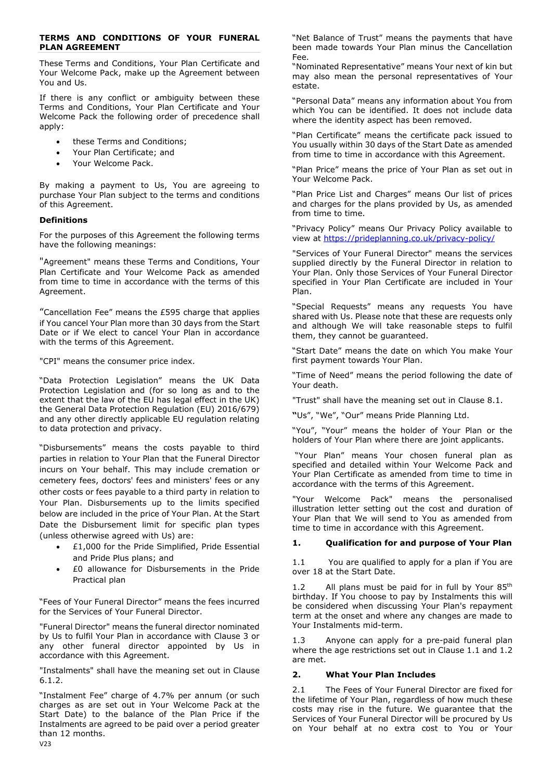### **TERMS AND CONDITIONS OF YOUR FUNERAL PLAN AGREEMENT**

These Terms and Conditions, Your Plan Certificate and Your Welcome Pack, make up the Agreement between You and Us.

If there is any conflict or ambiguity between these Terms and Conditions, Your Plan Certificate and Your Welcome Pack the following order of precedence shall apply:

- these Terms and Conditions;
- Your Plan Certificate; and
- Your Welcome Pack.

By making a payment to Us, You are agreeing to purchase Your Plan subject to the terms and conditions of this Agreement.

## **Definitions**

For the purposes of this Agreement the following terms have the following meanings:

"Agreement" means these Terms and Conditions, Your Plan Certificate and Your Welcome Pack as amended from time to time in accordance with the terms of this Agreement.

"Cancellation Fee" means the £595 charge that applies if You cancel Your Plan more than 30 days from the Start Date or if We elect to cancel Your Plan in accordance with the terms of this Agreement.

"CPI" means the consumer price index.

"Data Protection Legislation" means the UK Data Protection Legislation and (for so long as and to the extent that the law of the EU has legal effect in the UK) the General Data Protection Regulation (EU) 2016/679) and any other directly applicable EU regulation relating to data protection and privacy.

"Disbursements" means the costs payable to third parties in relation to Your Plan that the Funeral Director incurs on Your behalf. This may include cremation or cemetery fees, doctors' fees and ministers' fees or any other costs or fees payable to a third party in relation to Your Plan. Disbursements up to the limits specified below are included in the price of Your Plan. At the Start Date the Disbursement limit for specific plan types (unless otherwise agreed with Us) are:

- £1,000 for the Pride Simplified, Pride Essential and Pride Plus plans; and
- £0 allowance for Disbursements in the Pride Practical plan

"Fees of Your Funeral Director" means the fees incurred for the Services of Your Funeral Director.

"Funeral Director" means the funeral director nominated by Us to fulfil Your Plan in accordance with Clause 3 or any other funeral director appointed by Us in accordance with this Agreement.

"Instalments" shall have the meaning set out in Clause 6.1.2.

"Instalment Fee" charge of 4.7% per annum (or such charges as are set out in Your Welcome Pack at the Start Date) to the balance of the Plan Price if the Instalments are agreed to be paid over a period greater than 12 months.

"Net Balance of Trust" means the payments that have been made towards Your Plan minus the Cancellation Fee.

"Nominated Representative" means Your next of kin but may also mean the personal representatives of Your estate.

"Personal Data" means any information about You from which You can be identified. It does not include data where the identity aspect has been removed.

"Plan Certificate" means the certificate pack issued to You usually within 30 days of the Start Date as amended from time to time in accordance with this Agreement.

"Plan Price" means the price of Your Plan as set out in Your Welcome Pack.

"Plan Price List and Charges" means Our list of prices and charges for the plans provided by Us, as amended from time to time.

"Privacy Policy" means Our Privacy Policy available to view at<https://prideplanning.co.uk/privacy-policy/>

"Services of Your Funeral Director" means the services supplied directly by the Funeral Director in relation to Your Plan. Only those Services of Your Funeral Director specified in Your Plan Certificate are included in Your Plan.

"Special Requests" means any requests You have shared with Us. Please note that these are requests only and although We will take reasonable steps to fulfil them, they cannot be guaranteed.

"Start Date" means the date on which You make Your first payment towards Your Plan.

"Time of Need" means the period following the date of Your death.

"Trust" shall have the meaning set out in Clause 8.1.

**"**Us", "We", "Our" means Pride Planning Ltd.

"You", "Your" means the holder of Your Plan or the holders of Your Plan where there are joint applicants.

"Your Plan" means Your chosen funeral plan as specified and detailed within Your Welcome Pack and Your Plan Certificate as amended from time to time in accordance with the terms of this Agreement.

"Your Welcome Pack" means the personalised illustration letter setting out the cost and duration of Your Plan that We will send to You as amended from time to time in accordance with this Agreement.

# **1. Qualification for and purpose of Your Plan**

1.1 You are qualified to apply for a plan if You are over 18 at the Start Date.

1.2 All plans must be paid for in full by Your  $85<sup>th</sup>$ birthday. If You choose to pay by Instalments this will be considered when discussing Your Plan's repayment term at the onset and where any changes are made to Your Instalments mid-term.

1.3 Anyone can apply for a pre-paid funeral plan where the age restrictions set out in Clause 1.1 and 1.2 are met.

## **2. What Your Plan Includes**

2.1 The Fees of Your Funeral Director are fixed for the lifetime of Your Plan, regardless of how much these costs may rise in the future. We guarantee that the Services of Your Funeral Director will be procured by Us on Your behalf at no extra cost to You or Your

 $V23$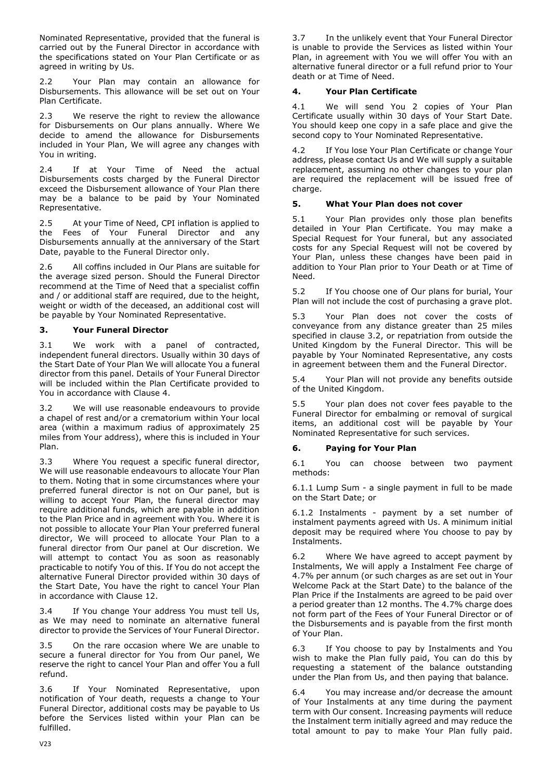Nominated Representative, provided that the funeral is carried out by the Funeral Director in accordance with the specifications stated on Your Plan Certificate or as agreed in writing by Us.

2.2 Your Plan may contain an allowance for Disbursements. This allowance will be set out on Your Plan Certificate.

2.3 We reserve the right to review the allowance for Disbursements on Our plans annually. Where We decide to amend the allowance for Disbursements included in Your Plan, We will agree any changes with You in writing.

2.4 If at Your Time of Need the actual Disbursements costs charged by the Funeral Director exceed the Disbursement allowance of Your Plan there may be a balance to be paid by Your Nominated Representative.

2.5 At your Time of Need, CPI inflation is applied to the Fees of Your Funeral Director and any Disbursements annually at the anniversary of the Start Date, payable to the Funeral Director only.

2.6 All coffins included in Our Plans are suitable for the average sized person. Should the Funeral Director recommend at the Time of Need that a specialist coffin and / or additional staff are required, due to the height, weight or width of the deceased, an additional cost will be payable by Your Nominated Representative.

## **3. Your Funeral Director**

3.1 We work with a panel of contracted, independent funeral directors. Usually within 30 days of the Start Date of Your Plan We will allocate You a funeral director from this panel. Details of Your Funeral Director will be included within the Plan Certificate provided to You in accordance with Clause 4.

3.2 We will use reasonable endeavours to provide a chapel of rest and/or a crematorium within Your local area (within a maximum radius of approximately 25 miles from Your address), where this is included in Your Plan.

3.3 Where You request a specific funeral director, We will use reasonable endeavours to allocate Your Plan to them. Noting that in some circumstances where your preferred funeral director is not on Our panel, but is willing to accept Your Plan, the funeral director may require additional funds, which are payable in addition to the Plan Price and in agreement with You. Where it is not possible to allocate Your Plan Your preferred funeral director, We will proceed to allocate Your Plan to a funeral director from Our panel at Our discretion. We will attempt to contact You as soon as reasonably practicable to notify You of this. If You do not accept the alternative Funeral Director provided within 30 days of the Start Date, You have the right to cancel Your Plan in accordance with Clause 12.

3.4 If You change Your address You must tell Us, as We may need to nominate an alternative funeral director to provide the Services of Your Funeral Director.

3.5 On the rare occasion where We are unable to secure a funeral director for You from Our panel, We reserve the right to cancel Your Plan and offer You a full refund.

3.6 If Your Nominated Representative, upon notification of Your death, requests a change to Your Funeral Director, additional costs may be payable to Us before the Services listed within your Plan can be fulfilled.

3.7 In the unlikely event that Your Funeral Director is unable to provide the Services as listed within Your Plan, in agreement with You we will offer You with an alternative funeral director or a full refund prior to Your death or at Time of Need.

## **4. Your Plan Certificate**

4.1 We will send You 2 copies of Your Plan Certificate usually within 30 days of Your Start Date. You should keep one copy in a safe place and give the second copy to Your Nominated Representative.

4.2 If You lose Your Plan Certificate or change Your address, please contact Us and We will supply a suitable replacement, assuming no other changes to your plan are required the replacement will be issued free of charge.

## **5. What Your Plan does not cover**

5.1 Your Plan provides only those plan benefits detailed in Your Plan Certificate. You may make a Special Request for Your funeral, but any associated costs for any Special Request will not be covered by Your Plan, unless these changes have been paid in addition to Your Plan prior to Your Death or at Time of Need.

5.2 If You choose one of Our plans for burial, Your Plan will not include the cost of purchasing a grave plot.

5.3 Your Plan does not cover the costs of conveyance from any distance greater than 25 miles specified in clause 3.2, or repatriation from outside the United Kingdom by the Funeral Director. This will be payable by Your Nominated Representative, any costs in agreement between them and the Funeral Director.

5.4 Your Plan will not provide any benefits outside of the United Kingdom.

5.5 Your plan does not cover fees payable to the Funeral Director for embalming or removal of surgical items, an additional cost will be payable by Your Nominated Representative for such services.

## **6. Paying for Your Plan**

6.1 You can choose between two payment methods:

6.1.1 Lump Sum - a single payment in full to be made on the Start Date; or

6.1.2 Instalments - payment by a set number of instalment payments agreed with Us. A minimum initial deposit may be required where You choose to pay by Instalments.

6.2 Where We have agreed to accept payment by Instalments, We will apply a Instalment Fee charge of 4.7% per annum (or such charges as are set out in Your Welcome Pack at the Start Date) to the balance of the Plan Price if the Instalments are agreed to be paid over a period greater than 12 months. The 4.7% charge does not form part of the Fees of Your Funeral Director or of the Disbursements and is payable from the first month of Your Plan.

6.3 If You choose to pay by Instalments and You wish to make the Plan fully paid, You can do this by requesting a statement of the balance outstanding under the Plan from Us, and then paying that balance.

6.4 You may increase and/or decrease the amount of Your Instalments at any time during the payment term with Our consent. Increasing payments will reduce the Instalment term initially agreed and may reduce the total amount to pay to make Your Plan fully paid.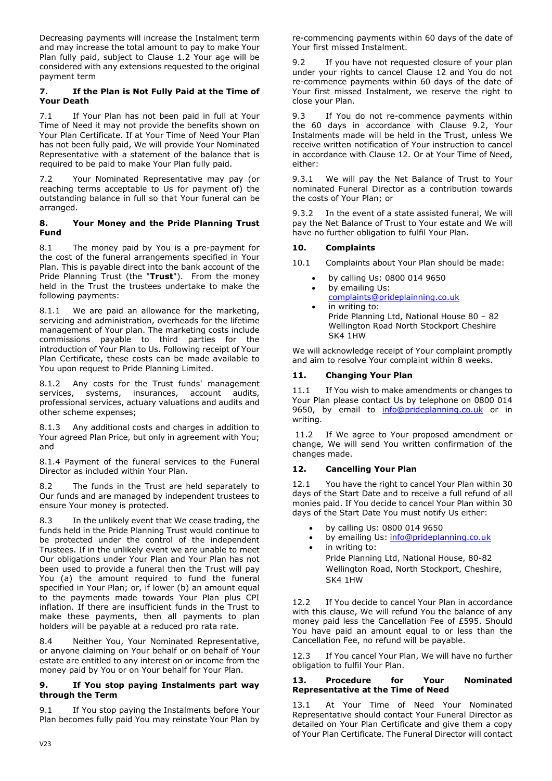Decreasing payments will increase the Instalment term and may increase the total amount to pay to make Your Plan fully paid, subject to Clause 1.2 Your age will be considered with any extensions requested to the original payment term

## **7. If the Plan is Not Fully Paid at the Time of Your Death**

7.1 If Your Plan has not been paid in full at Your Time of Need it may not provide the benefits shown on Your Plan Certificate. If at Your Time of Need Your Plan has not been fully paid, We will provide Your Nominated Representative with a statement of the balance that is required to be paid to make Your Plan fully paid.

7.2 Your Nominated Representative may pay (or reaching terms acceptable to Us for payment of) the outstanding balance in full so that Your funeral can be arranged.

### **8. Your Money and the Pride Planning Trust Fund**

8.1 The money paid by You is a pre-payment for the cost of the funeral arrangements specified in Your Plan. This is payable direct into the bank account of the Pride Planning Trust (the "**Trust**"). From the money held in the Trust the trustees undertake to make the following payments:

8.1.1 We are paid an allowance for the marketing, servicing and administration, overheads for the lifetime management of Your plan. The marketing costs include commissions payable to third parties for the introduction of Your Plan to Us. Following receipt of Your Plan Certificate, these costs can be made available to You upon request to Pride Planning Limited.

8.1.2 Any costs for the Trust funds' management services, systems, insurances, account audits, professional services, actuary valuations and audits and other scheme expenses;

8.1.3 Any additional costs and charges in addition to Your agreed Plan Price, but only in agreement with You; and

8.1.4 Payment of the funeral services to the Funeral Director as included within Your Plan.

8.2 The funds in the Trust are held separately to Our funds and are managed by independent trustees to ensure Your money is protected.

8.3 In the unlikely event that We cease trading, the funds held in the Pride Planning Trust would continue to be protected under the control of the independent Trustees. If in the unlikely event we are unable to meet Our obligations under Your Plan and Your Plan has not been used to provide a funeral then the Trust will pay You (a) the amount required to fund the funeral specified in Your Plan; or, if lower (b) an amount equal to the payments made towards Your Plan plus CPI inflation. If there are insufficient funds in the Trust to make these payments, then all payments to plan holders will be payable at a reduced pro rata rate.

8.4 Neither You, Your Nominated Representative, or anyone claiming on Your behalf or on behalf of Your estate are entitled to any interest on or income from the money paid by You or on Your behalf for Your Plan.

### **9. If You stop paying Instalments part way through the Term**

9.1 If You stop paying the Instalments before Your Plan becomes fully paid You may reinstate Your Plan by re-commencing payments within 60 days of the date of Your first missed Instalment.

9.2 If you have not requested closure of your plan under your rights to cancel Clause 12 and You do not re-commence payments within 60 days of the date of Your first missed Instalment, we reserve the right to close your Plan.

9.3 If You do not re-commence payments within the 60 days in accordance with Clause 9.2, Your Instalments made will be held in the Trust, unless We receive written notification of Your instruction to cancel in accordance with Clause 12. Or at Your Time of Need, either:

9.3.1 We will pay the Net Balance of Trust to Your nominated Funeral Director as a contribution towards the costs of Your Plan; or

9.3.2 In the event of a state assisted funeral, We will pay the Net Balance of Trust to Your estate and We will have no further obligation to fulfil Your Plan.

# **10. Complaints**

10.1 Complaints about Your Plan should be made:

- by calling Us: 0800 014 9650
- by emailing Us:
- [complaints@prideplainning.co.uk](mailto:complaints@prideplainning.co.uk) in writing to: Pride Planning Ltd, National House 80 – 82
- Wellington Road North Stockport Cheshire SK4 1HW

We will acknowledge receipt of Your complaint promptly and aim to resolve Your complaint within 8 weeks.

# **11. Changing Your Plan**

11.1 If You wish to make amendments or changes to Your Plan please contact Us by telephone on 0800 014 9650, by email to [info@prideplanning.co.uk](mailto:info@prideplanning.co.uk) or in writing.

11.2 If We agree to Your proposed amendment or change, We will send You written confirmation of the changes made.

# **12. Cancelling Your Plan**

12.1 You have the right to cancel Your Plan within 30 days of the Start Date and to receive a full refund of all monies paid. If You decide to cancel Your Plan within 30 days of the Start Date You must notify Us either:

- by calling Us: 0800 014 9650
- by emailing Us: [info@prideplanning.co.uk](mailto:info@prideplanning.co.uk)
- in writing to: Pride Planning Ltd, National House, 80-82 Wellington Road, North Stockport, Cheshire, SK4 1HW

12.2 If You decide to cancel Your Plan in accordance with this clause, We will refund You the balance of any money paid less the Cancellation Fee of £595. Should You have paid an amount equal to or less than the Cancellation Fee, no refund will be payable.

12.3 If You cancel Your Plan, We will have no further obligation to fulfil Your Plan.

#### **13. Procedure for Your Nominated Representative at the Time of Need**

At Your Time of Need Your Nominated Representative should contact Your Funeral Director as detailed on Your Plan Certificate and give them a copy of Your Plan Certificate. The Funeral Director will contact